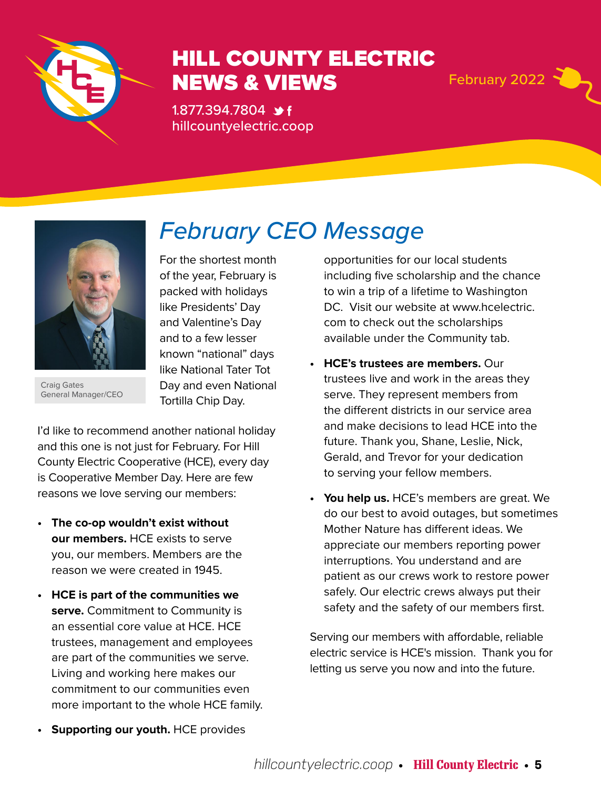

### HILL COUNTY ELECTRIC NEWS & VIEWS February 2022

1.877.394.7804 \*f hillcountyelectric.coop



Craig Gates General Manager/CEO

## *February CEO Message*

For the shortest month of the year, February is packed with holidays like Presidents' Day and Valentine's Day and to a few lesser known "national" days like National Tater Tot Day and even National Tortilla Chip Day.

I'd like to recommend another national holiday and this one is not just for February. For Hill County Electric Cooperative (HCE), every day is Cooperative Member Day. Here are few reasons we love serving our members:

- **• The co-op wouldn't exist without our members.** HCE exists to serve you, our members. Members are the reason we were created in 1945.
- **• HCE is part of the communities we serve.** Commitment to Community is an essential core value at HCE. HCE trustees, management and employees are part of the communities we serve. Living and working here makes our commitment to our communities even more important to the whole HCE family.

opportunities for our local students including five scholarship and the chance to win a trip of a lifetime to Washington DC. Visit our website at www.hcelectric. com to check out the scholarships available under the Community tab.

- **• HCE's trustees are members.** Our trustees live and work in the areas they serve. They represent members from the different districts in our service area and make decisions to lead HCE into the future. Thank you, Shane, Leslie, Nick, Gerald, and Trevor for your dedication to serving your fellow members.
- **• You help us.** HCE's members are great. We do our best to avoid outages, but sometimes Mother Nature has different ideas. We appreciate our members reporting power interruptions. You understand and are patient as our crews work to restore power safely. Our electric crews always put their safety and the safety of our members first.

Serving our members with affordable, reliable electric service is HCE's mission. Thank you for letting us serve you now and into the future.

**• Supporting our youth.** HCE provides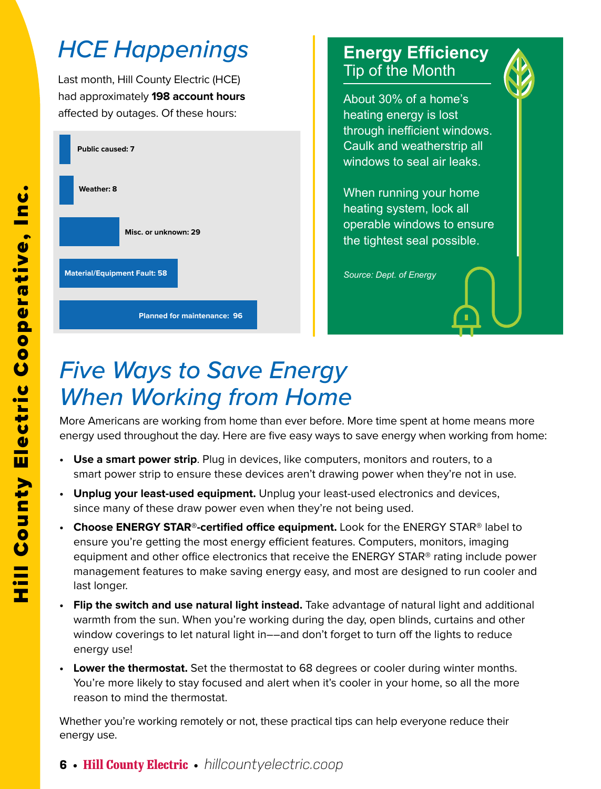## *HCE Happenings*

Last month, Hill County Electric (HCE) had approximately **198 account hours**  affected by outages. Of these hours:



**Planned for maintenance: 96**

### **Energy Efficiency** Tip of the Month

About 30% of a home's heating energy is lost through inefficient windows. Caulk and weatherstrip all windows to seal air leaks.

When running your home heating system, lock all operable windows to ensure the tightest seal possible.

*Source: Dept. of Energy*

### *Five Ways to Save Energy When Working from Home*

More Americans are working from home than ever before. More time spent at home means more energy used throughout the day. Here are five easy ways to save energy when working from home:

- **• Use a smart power strip**. Plug in devices, like computers, monitors and routers, to a smart power strip to ensure these devices aren't drawing power when they're not in use.
- **• Unplug your least-used equipment.** Unplug your least-used electronics and devices, since many of these draw power even when they're not being used.
- **• Choose ENERGY STAR®-certified office equipment.** Look for the ENERGY STAR® label to ensure you're getting the most energy efficient features. Computers, monitors, imaging equipment and other office electronics that receive the ENERGY STAR® rating include power management features to make saving energy easy, and most are designed to run cooler and last longer.
- **• Flip the switch and use natural light instead.** Take advantage of natural light and additional warmth from the sun. When you're working during the day, open blinds, curtains and other window coverings to let natural light in––and don't forget to turn off the lights to reduce energy use!
- **• Lower the thermostat.** Set the thermostat to 68 degrees or cooler during winter months. You're more likely to stay focused and alert when it's cooler in your home, so all the more reason to mind the thermostat.

Whether you're working remotely or not, these practical tips can help everyone reduce their

energy use.

**6** • **Hill County Electric** • *hillcountyelectric.coop*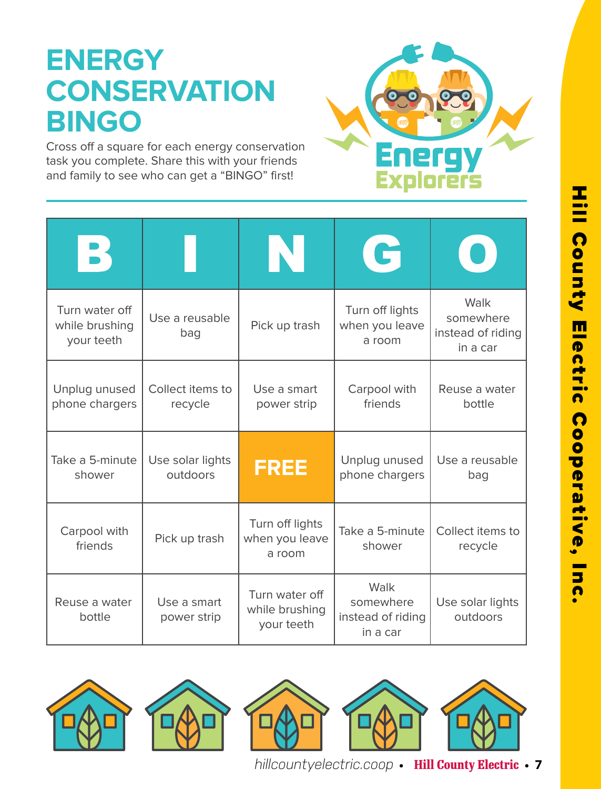# **ENERGY CONSERVATION BINGO**

Cross off a square for each energy conservation task you complete. Share this with your friends and family to see who can get a "BINGO" first!



|                                                |                              | IN                                             | G                                                  |                                                    |
|------------------------------------------------|------------------------------|------------------------------------------------|----------------------------------------------------|----------------------------------------------------|
| Turn water off<br>while brushing<br>your teeth | Use a reusable<br>bag        | Pick up trash                                  | Turn off lights<br>when you leave<br>a room        | Walk<br>somewhere<br>instead of riding<br>in a car |
| Unplug unused<br>phone chargers                | Collect items to<br>recycle  | Use a smart<br>power strip                     | Carpool with<br>friends                            | Reuse a water<br>bottle                            |
| Take a 5-minute<br>shower                      | Use solar lights<br>outdoors | <b>FREE</b>                                    | Unplug unused<br>phone chargers                    | Use a reusable<br>bag                              |
| Carpool with<br>friends                        | Pick up trash                | Turn off lights<br>when you leave<br>a room    | Take a 5-minute<br>shower                          | Collect items to<br>recycle                        |
| Reuse a water<br>bottle                        | Use a smart<br>power strip   | Turn water off<br>while brushing<br>your teeth | Walk<br>somewhere<br>instead of riding<br>in a car | Use solar lights<br>outdoors                       |